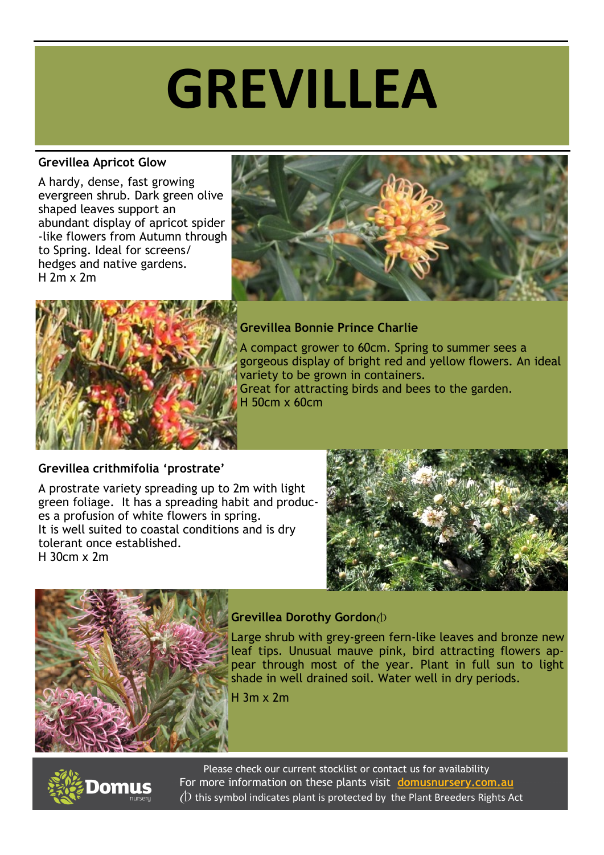# **GREVILLEA**

### **Grevillea Apricot Glow**

A hardy, dense, fast growing evergreen shrub. Dark green olive shaped leaves support an abundant display of apricot spider -like flowers from Autumn through to Spring. Ideal for screens/ hedges and native gardens. H 2m x 2m





### **Grevillea Bonnie Prince Charlie**

A compact grower to 60cm. Spring to summer sees a gorgeous display of bright red and yellow flowers. An ideal variety to be grown in containers. Great for attracting birds and bees to the garden. H 50cm x 60cm

## **Grevillea crithmifolia 'prostrate'**

A prostrate variety spreading up to 2m with light green foliage. It has a spreading habit and produces a profusion of white flowers in spring. It is well suited to coastal conditions and is dry tolerant once established. H 30cm x 2m





## **Grevillea Dorothy Gordon** $\triangle$

Large shrub with grey-green fern-like leaves and bronze new leaf tips. Unusual mauve pink, bird attracting flowers appear through most of the year. Plant in full sun to light shade in well drained soil. Water well in dry periods.

H 3m x 2m



For more information on these plants visit **[domusnursery.com.au](https://www.domusnursery.com.au)** Please check our current stocklist or contact us for availability  $(D)$  this symbol indicates plant is protected by the Plant Breeders Rights Act